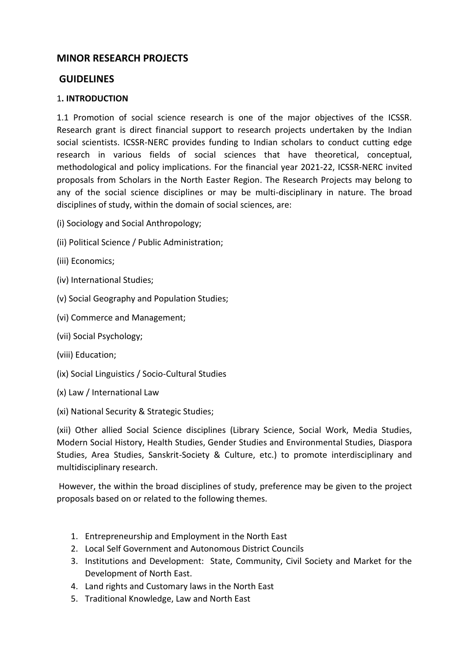# **MINOR RESEARCH PROJECTS**

## **GUIDELINES**

### 1**. INTRODUCTION**

1.1 Promotion of social science research is one of the major objectives of the ICSSR. Research grant is direct financial support to research projects undertaken by the Indian social scientists. ICSSR-NERC provides funding to Indian scholars to conduct cutting edge research in various fields of social sciences that have theoretical, conceptual, methodological and policy implications. For the financial year 2021-22, ICSSR-NERC invited proposals from Scholars in the North Easter Region. The Research Projects may belong to any of the social science disciplines or may be multi-disciplinary in nature. The broad disciplines of study, within the domain of social sciences, are:

- (i) Sociology and Social Anthropology;
- (ii) Political Science / Public Administration;
- (iii) Economics;
- (iv) International Studies;
- (v) Social Geography and Population Studies;
- (vi) Commerce and Management;
- (vii) Social Psychology;
- (viii) Education;
- (ix) Social Linguistics / Socio-Cultural Studies
- (x) Law / International Law

(xi) National Security & Strategic Studies;

(xii) Other allied Social Science disciplines (Library Science, Social Work, Media Studies, Modern Social History, Health Studies, Gender Studies and Environmental Studies, Diaspora Studies, Area Studies, Sanskrit-Society & Culture, etc.) to promote interdisciplinary and multidisciplinary research.

However, the within the broad disciplines of study, preference may be given to the project proposals based on or related to the following themes.

- 1. Entrepreneurship and Employment in the North East
- 2. Local Self Government and Autonomous District Councils
- 3. Institutions and Development: State, Community, Civil Society and Market for the Development of North East.
- 4. Land rights and Customary laws in the North East
- 5. Traditional Knowledge, Law and North East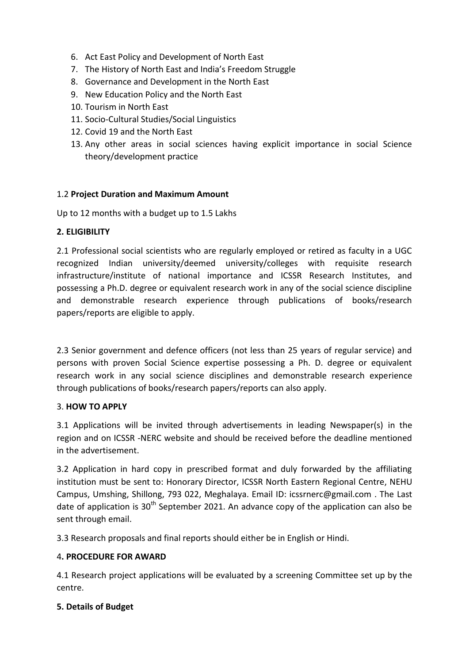- 6. Act East Policy and Development of North East
- 7. The History of North East and India's Freedom Struggle
- 8. Governance and Development in the North East
- 9. New Education Policy and the North East
- 10. Tourism in North East
- 11. Socio-Cultural Studies/Social Linguistics
- 12. Covid 19 and the North East
- 13. Any other areas in social sciences having explicit importance in social Science theory/development practice

#### 1.2 **Project Duration and Maximum Amount**

Up to 12 months with a budget up to 1.5 Lakhs

#### **2. ELIGIBILITY**

2.1 Professional social scientists who are regularly employed or retired as faculty in a UGC recognized Indian university/deemed university/colleges with requisite research infrastructure/institute of national importance and ICSSR Research Institutes, and possessing a Ph.D. degree or equivalent research work in any of the social science discipline and demonstrable research experience through publications of books/research papers/reports are eligible to apply.

2.3 Senior government and defence officers (not less than 25 years of regular service) and persons with proven Social Science expertise possessing a Ph. D. degree or equivalent research work in any social science disciplines and demonstrable research experience through publications of books/research papers/reports can also apply.

#### 3. **HOW TO APPLY**

3.1 Applications will be invited through advertisements in leading Newspaper(s) in the region and on ICSSR -NERC website and should be received before the deadline mentioned in the advertisement.

3.2 Application in hard copy in prescribed format and duly forwarded by the affiliating institution must be sent to: Honorary Director, ICSSR North Eastern Regional Centre, NEHU Campus, Umshing, Shillong, 793 022, Meghalaya. Email ID: icssrnerc@gmail.com . The Last date of application is  $30<sup>th</sup>$  September 2021. An advance copy of the application can also be sent through email.

3.3 Research proposals and final reports should either be in English or Hindi.

### 4**. PROCEDURE FOR AWARD**

4.1 Research project applications will be evaluated by a screening Committee set up by the centre.

#### **5. Details of Budget**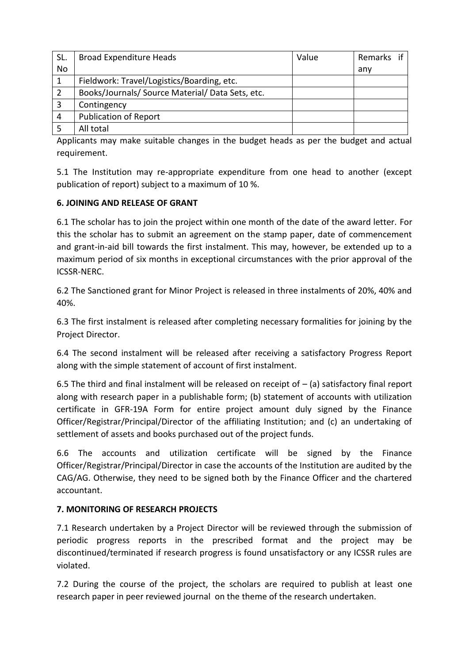| SL. | <b>Broad Expenditure Heads</b>                   | Value | Remarks if |
|-----|--------------------------------------------------|-------|------------|
| No  |                                                  |       | anv        |
|     | Fieldwork: Travel/Logistics/Boarding, etc.       |       |            |
|     | Books/Journals/ Source Material/ Data Sets, etc. |       |            |
| 3   | Contingency                                      |       |            |
| 4   | <b>Publication of Report</b>                     |       |            |
|     | All total                                        |       |            |

Applicants may make suitable changes in the budget heads as per the budget and actual requirement.

5.1 The Institution may re-appropriate expenditure from one head to another (except publication of report) subject to a maximum of 10 %.

### **6. JOINING AND RELEASE OF GRANT**

6.1 The scholar has to join the project within one month of the date of the award letter. For this the scholar has to submit an agreement on the stamp paper, date of commencement and grant-in-aid bill towards the first instalment. This may, however, be extended up to a maximum period of six months in exceptional circumstances with the prior approval of the ICSSR-NERC.

6.2 The Sanctioned grant for Minor Project is released in three instalments of 20%, 40% and 40%.

6.3 The first instalment is released after completing necessary formalities for joining by the Project Director.

6.4 The second instalment will be released after receiving a satisfactory Progress Report along with the simple statement of account of first instalment.

6.5 The third and final instalment will be released on receipt of  $-$  (a) satisfactory final report along with research paper in a publishable form; (b) statement of accounts with utilization certificate in GFR-19A Form for entire project amount duly signed by the Finance Officer/Registrar/Principal/Director of the affiliating Institution; and (c) an undertaking of settlement of assets and books purchased out of the project funds.

6.6 The accounts and utilization certificate will be signed by the Finance Officer/Registrar/Principal/Director in case the accounts of the Institution are audited by the CAG/AG. Otherwise, they need to be signed both by the Finance Officer and the chartered accountant.

### **7. MONITORING OF RESEARCH PROJECTS**

7.1 Research undertaken by a Project Director will be reviewed through the submission of periodic progress reports in the prescribed format and the project may be discontinued/terminated if research progress is found unsatisfactory or any ICSSR rules are violated.

7.2 During the course of the project, the scholars are required to publish at least one research paper in peer reviewed journal on the theme of the research undertaken.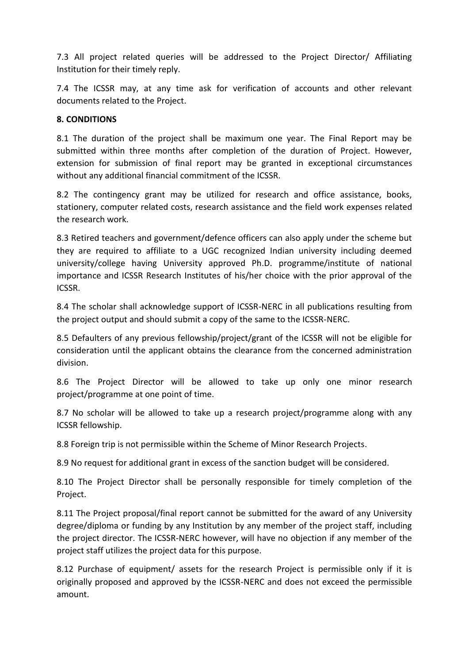7.3 All project related queries will be addressed to the Project Director/ Affiliating Institution for their timely reply.

7.4 The ICSSR may, at any time ask for verification of accounts and other relevant documents related to the Project.

### **8. CONDITIONS**

8.1 The duration of the project shall be maximum one year. The Final Report may be submitted within three months after completion of the duration of Project. However, extension for submission of final report may be granted in exceptional circumstances without any additional financial commitment of the ICSSR.

8.2 The contingency grant may be utilized for research and office assistance, books, stationery, computer related costs, research assistance and the field work expenses related the research work.

8.3 Retired teachers and government/defence officers can also apply under the scheme but they are required to affiliate to a UGC recognized Indian university including deemed university/college having University approved Ph.D. programme/institute of national importance and ICSSR Research Institutes of his/her choice with the prior approval of the ICSSR.

8.4 The scholar shall acknowledge support of ICSSR-NERC in all publications resulting from the project output and should submit a copy of the same to the ICSSR-NERC.

8.5 Defaulters of any previous fellowship/project/grant of the ICSSR will not be eligible for consideration until the applicant obtains the clearance from the concerned administration division.

8.6 The Project Director will be allowed to take up only one minor research project/programme at one point of time.

8.7 No scholar will be allowed to take up a research project/programme along with any ICSSR fellowship.

8.8 Foreign trip is not permissible within the Scheme of Minor Research Projects.

8.9 No request for additional grant in excess of the sanction budget will be considered.

8.10 The Project Director shall be personally responsible for timely completion of the Project.

8.11 The Project proposal/final report cannot be submitted for the award of any University degree/diploma or funding by any Institution by any member of the project staff, including the project director. The ICSSR-NERC however, will have no objection if any member of the project staff utilizes the project data for this purpose.

8.12 Purchase of equipment/ assets for the research Project is permissible only if it is originally proposed and approved by the ICSSR-NERC and does not exceed the permissible amount.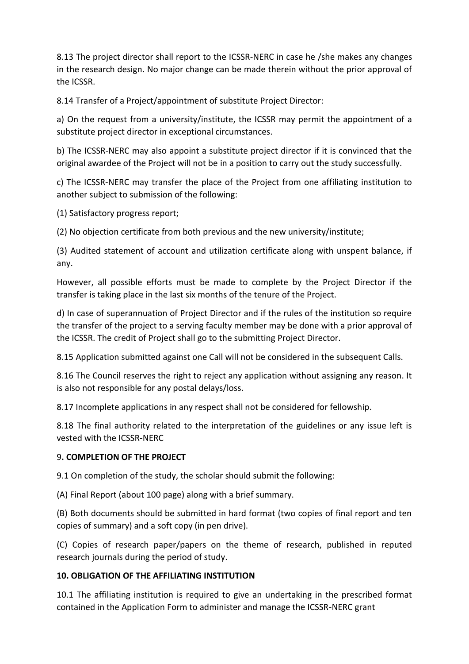8.13 The project director shall report to the ICSSR-NERC in case he /she makes any changes in the research design. No major change can be made therein without the prior approval of the ICSSR.

8.14 Transfer of a Project/appointment of substitute Project Director:

a) On the request from a university/institute, the ICSSR may permit the appointment of a substitute project director in exceptional circumstances.

b) The ICSSR-NERC may also appoint a substitute project director if it is convinced that the original awardee of the Project will not be in a position to carry out the study successfully.

c) The ICSSR-NERC may transfer the place of the Project from one affiliating institution to another subject to submission of the following:

(1) Satisfactory progress report;

(2) No objection certificate from both previous and the new university/institute;

(3) Audited statement of account and utilization certificate along with unspent balance, if any.

However, all possible efforts must be made to complete by the Project Director if the transfer is taking place in the last six months of the tenure of the Project.

d) In case of superannuation of Project Director and if the rules of the institution so require the transfer of the project to a serving faculty member may be done with a prior approval of the ICSSR. The credit of Project shall go to the submitting Project Director.

8.15 Application submitted against one Call will not be considered in the subsequent Calls.

8.16 The Council reserves the right to reject any application without assigning any reason. It is also not responsible for any postal delays/loss.

8.17 Incomplete applications in any respect shall not be considered for fellowship.

8.18 The final authority related to the interpretation of the guidelines or any issue left is vested with the ICSSR-NERC

# 9**. COMPLETION OF THE PROJECT**

9.1 On completion of the study, the scholar should submit the following:

(A) Final Report (about 100 page) along with a brief summary.

(B) Both documents should be submitted in hard format (two copies of final report and ten copies of summary) and a soft copy (in pen drive).

(C) Copies of research paper/papers on the theme of research, published in reputed research journals during the period of study.

# **10. OBLIGATION OF THE AFFILIATING INSTITUTION**

10.1 The affiliating institution is required to give an undertaking in the prescribed format contained in the Application Form to administer and manage the ICSSR-NERC grant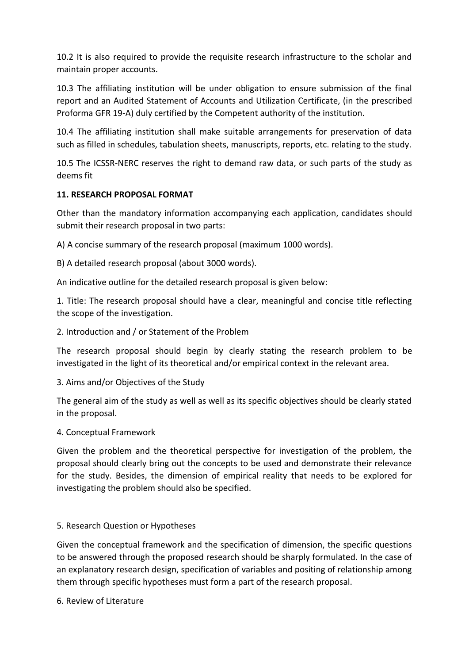10.2 It is also required to provide the requisite research infrastructure to the scholar and maintain proper accounts.

10.3 The affiliating institution will be under obligation to ensure submission of the final report and an Audited Statement of Accounts and Utilization Certificate, (in the prescribed Proforma GFR 19-A) duly certified by the Competent authority of the institution.

10.4 The affiliating institution shall make suitable arrangements for preservation of data such as filled in schedules, tabulation sheets, manuscripts, reports, etc. relating to the study.

10.5 The ICSSR-NERC reserves the right to demand raw data, or such parts of the study as deems fit

## **11. RESEARCH PROPOSAL FORMAT**

Other than the mandatory information accompanying each application, candidates should submit their research proposal in two parts:

A) A concise summary of the research proposal (maximum 1000 words).

B) A detailed research proposal (about 3000 words).

An indicative outline for the detailed research proposal is given below:

1. Title: The research proposal should have a clear, meaningful and concise title reflecting the scope of the investigation.

## 2. Introduction and / or Statement of the Problem

The research proposal should begin by clearly stating the research problem to be investigated in the light of its theoretical and/or empirical context in the relevant area.

3. Aims and/or Objectives of the Study

The general aim of the study as well as well as its specific objectives should be clearly stated in the proposal.

### 4. Conceptual Framework

Given the problem and the theoretical perspective for investigation of the problem, the proposal should clearly bring out the concepts to be used and demonstrate their relevance for the study. Besides, the dimension of empirical reality that needs to be explored for investigating the problem should also be specified.

### 5. Research Question or Hypotheses

Given the conceptual framework and the specification of dimension, the specific questions to be answered through the proposed research should be sharply formulated. In the case of an explanatory research design, specification of variables and positing of relationship among them through specific hypotheses must form a part of the research proposal.

6. Review of Literature